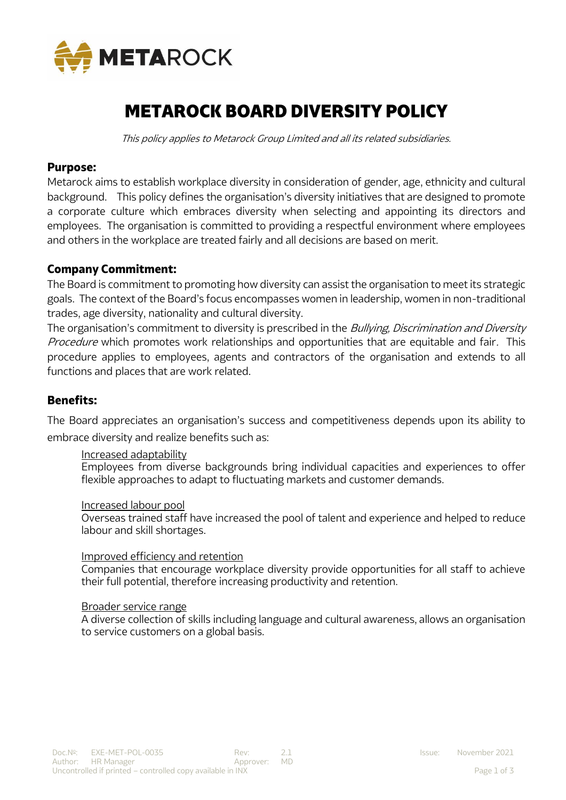

# METAROCK BOARD DIVERSITY POLICY

This policy applies to Metarock Group Limited and all its related subsidiaries.

# **Purpose:**

Metarock aims to establish workplace diversity in consideration of gender, age, ethnicity and cultural background. This policy defines the organisation's diversity initiatives that are designed to promote a corporate culture which embraces diversity when selecting and appointing its directors and employees. The organisation is committed to providing a respectful environment where employees and others in the workplace are treated fairly and all decisions are based on merit.

# **Company Commitment:**

The Board is commitment to promoting how diversity can assist the organisation to meet its strategic goals. The context of the Board's focus encompasses women in leadership, women in non-traditional trades, age diversity, nationality and cultural diversity.

The organisation's commitment to diversity is prescribed in the Bullying, Discrimination and Diversity Procedure which promotes work relationships and opportunities that are equitable and fair. This procedure applies to employees, agents and contractors of the organisation and extends to all functions and places that are work related.

# **Benefits:**

The Board appreciates an organisation's success and competitiveness depends upon its ability to embrace diversity and realize benefits such as:

## Increased adaptability

Employees from diverse backgrounds bring individual capacities and experiences to offer flexible approaches to adapt to fluctuating markets and customer demands.

#### Increased labour pool

Overseas trained staff have increased the pool of talent and experience and helped to reduce labour and skill shortages.

## Improved efficiency and retention

Companies that encourage workplace diversity provide opportunities for all staff to achieve their full potential, therefore increasing productivity and retention.

#### Broader service range

A diverse collection of skills including language and cultural awareness, allows an organisation to service customers on a global basis.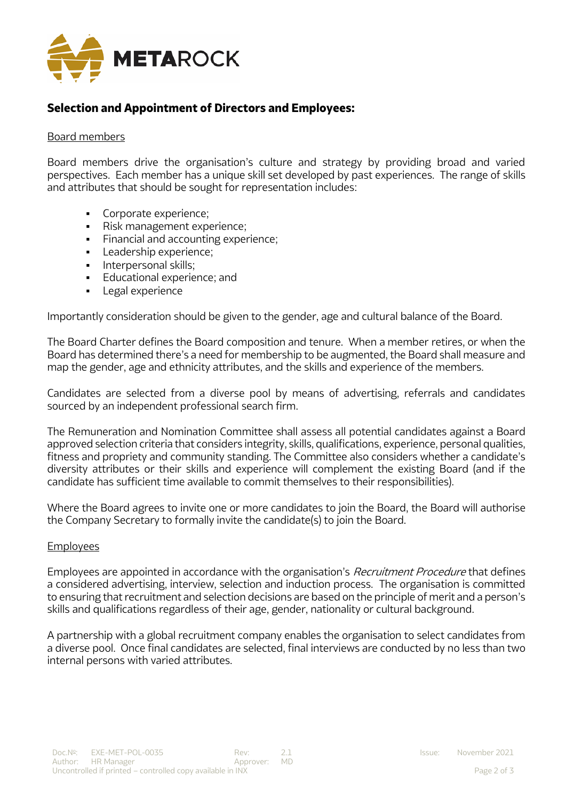

# **Selection and Appointment of Directors and Employees:**

## Board members

Board members drive the organisation's culture and strategy by providing broad and varied perspectives. Each member has a unique skill set developed by past experiences. The range of skills and attributes that should be sought for representation includes:

- Corporate experience:
- Risk management experience;
- **•** Financial and accounting experience;
- Leadership experience;
- **·** Interpersonal skills:
- **•** Educational experience; and
- Legal experience

Importantly consideration should be given to the gender, age and cultural balance of the Board.

The Board Charter defines the Board composition and tenure. When a member retires, or when the Board has determined there's a need for membership to be augmented, the Board shall measure and map the gender, age and ethnicity attributes, and the skills and experience of the members.

Candidates are selected from a diverse pool by means of advertising, referrals and candidates sourced by an independent professional search firm.

The Remuneration and Nomination Committee shall assess all potential candidates against a Board approved selection criteria that considers integrity, skills, qualifications, experience, personal qualities, fitness and propriety and community standing. The Committee also considers whether a candidate's diversity attributes or their skills and experience will complement the existing Board (and if the candidate has sufficient time available to commit themselves to their responsibilities).

Where the Board agrees to invite one or more candidates to join the Board, the Board will authorise the Company Secretary to formally invite the candidate(s) to join the Board.

## Employees

Employees are appointed in accordance with the organisation's *Recruitment Procedure* that defines a considered advertising, interview, selection and induction process. The organisation is committed to ensuring that recruitment and selection decisions are based on the principle of merit and a person's skills and qualifications regardless of their age, gender, nationality or cultural background.

A partnership with a global recruitment company enables the organisation to select candidates from a diverse pool. Once final candidates are selected, final interviews are conducted by no less than two internal persons with varied attributes.